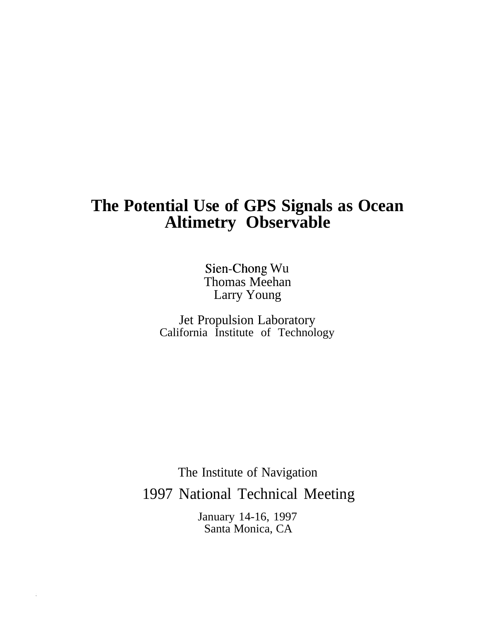# **The Potential Use of GPS Signals as Ocean Altimetry Observable**

Sien-Chong Wu Thomas Meehan Larry Young

Jet Propulsion Laboratory California Institute of Technology

The Institute of Navigation 1997 National Technical Meeting

> January 14-16, 1997 Santa Monica, CA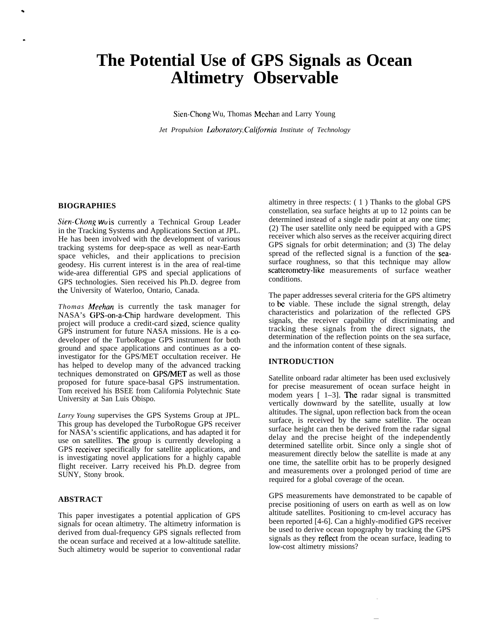# **The Potential Use of GPS Signals as Ocean Altimetry Observable**

Sicn-Chong Wu, Thomas Mcchan and Larry Young

*Jet Propulsion Laboratory, California Institute of Technology* 

#### **BIOGRAPHIES**

*Sien-Chong* **WU is** currently a Technical Group Leader in the Tracking Systems and Applications Section at JPL. He has been involved with the development of various tracking systems for deep-space as well as near-Earth space vehicles, and their applications to precision geodesy. His current interest is in the area of real-time wide-area differential GPS and special applications of GPS technologies. Sien received his Ph.D. degree from the University of Waterloo, Ontario, Canada.

*Thomas Meehan* is currently the task manager for NASA's GPS-on-a-Chip hardware development. This project will produce a credit-card sized, science quality GPS instrument for future NASA missions. He is a codeveloper of the TurboRogue GPS instrument for both ground and space applications and continues as a coinvestigator for the GPS/MET occultation receiver. He has helped to develop many of the advanced tracking techniques demonstrated on GPS/MET as well as those proposed for future space-basal GPS instrumentation. Tom received his BSEE from California Polytechnic State University at San Luis Obispo.

*Larry Young* supervises the GPS Systems Group at JPL. This group has developed the TurboRogue GPS receiver for NASA's scientific applications, and has adapted it for use on satellites. The group is currently developing a GPS receiver specifically for satellite applications, and is investigating novel applications for a highly capable flight receiver. Larry received his Ph.D. degree from SUNY, Stony brook.

# **ABSTRACT**

This paper investigates a potential application of GPS signals for ocean altimetry. The altimetry information is derived from dual-frequency GPS signals reflected from the ocean surface and received at a low-altitude satellite. Such altimetry would be superior to conventional radar

altimetry in three respects: ( 1 ) Thanks to the global GPS constellation, sea surface heights at up to 12 points can be determined instead of a single nadir point at any one time; (2) The user satellite only need be equipped with a GPS receiver which also serves as the receiver acquiring direct GPS signals for orbit determination; and (3) The delay spread of the reflected signal is a function of the seasurface roughness, so that this technique may allow scatterometry-like measurements of surface weather conditions.

The paper addresses several criteria for the GPS altimetry to be viable. These include the signal strength, delay characteristics and polarization of the reflected GPS signals, the receiver capability of discriminating and tracking these signals from the direct signats, the determination of the reflection points on the sea surface, and the information content of these signals.

## **INTRODUCTION**

Satellite onboard radar altimeter has been used exclusively for precise measurement of ocean surface height in modem years  $\lceil 1-3 \rceil$ . The radar signal is transmitted vertically downward by the satellite, usually at low altitudes. The signal, upon reflection back from the ocean surface, is received by the same satellite. The ocean surface height can then be derived from the radar signal delay and the precise height of the independently determined satellite orbit. Since only a single shot of measurement directly below the satellite is made at any one time, the satellite orbit has to be properly designed and measurements over a prolonged period of time are required for a global coverage of the ocean.

GPS measurements have demonstrated to be capable of precise positioning of users on earth as well as on low altitude satellites. Positioning to cm-level accuracy has been reported [4-6]. Can a highly-modified GPS receiver be used to derive ocean topography by tracking the GPS signals as they retlect from the ocean surface, leading to low-cost altimetry missions?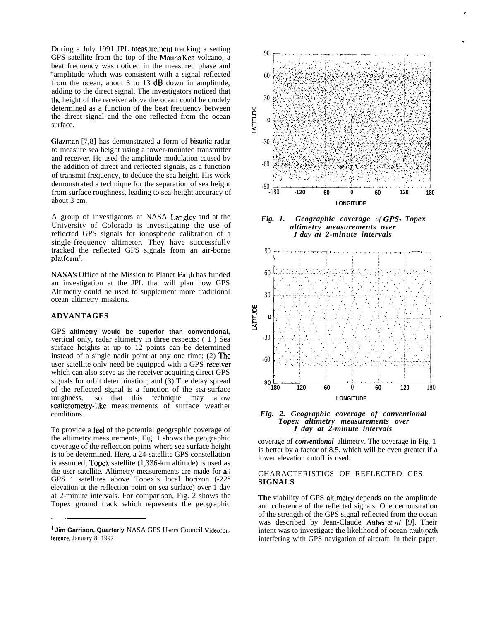During a July 1991 JPL measurement tracking a setting GPS satellite from the top of the Mauna Kca volcano, a beat frequency was noticed in the measured phase and "amplitude which was consistent with a signal reflected from the ocean, about 3 to 13 dB down in amplitude, adding to the direct signal. The investigators noticed that the height of the receiver above the ocean could be crudely determined as a function of the beat frequency between the direct signal and the one reflected from the ocean surface.

Glazman [7,8] has demonstrated a form of bistatic radar to measure sea height using a tower-mounted transmitter and receiver. He used the amplitude modulation caused by the addition of direct and reflected signals, as a function of transmit frequency, to deduce the sea height. His work demonstrated a technique for the separation of sea height from surface roughness, leading to sea-height accuracy of about 3 cm.

A group of investigators at NASA I,angley and at the University of Colorado is investigating the use of reflected GPS signals for ionospheric calibration of a single-frequency altimeter. They have successfully tracked the reflected GPS signals from an air-borne platform+.

NASA's Office of the Mission to Planet Earth has funded an investigation at the JPL that will plan how GPS Altimetry could be used to supplement more traditional ocean altimetry missions.

## **ADVANTAGES**

. — . <u>— \_ \_ \_ \_ \_ \_</u>

GPS **altimetry would be superior than conventional,** vertical only, radar altimetry in three respects: ( 1 ) Sea surface heights at up to 12 points can be determined instead of a single nadir point at any one time; (2) The user satellite only need be equipped with a GPS receiver which can also serve as the receiver acquiring direct GPS signals for orbit determination; and (3) The delay spread of the reflected signal is a function of the sea-surface roughness, so that this technique may allow scatterometry-like measurements of surface weather conditions.

To provide a feel of the potential geographic coverage of the altimetry measurements, Fig. 1 shows the geographic coverage of the reflection points where sea surface height is to be determined. Here, a 24-satellite GPS constellation is assumed; Topcx satellite (1,336-km altitude) is used as the user satellite. Altimetry measurements are made for all GPS ' satellites above Topex's local horizon (-22° elevation at the reflection point on sea surface) over 1 day at 2-minute intervals. For comparison, Fig. 2 shows the Topex ground track which represents the geographic









coverage of *conventional* altimetry. The coverage in Fig. 1 is better by a factor of 8.5, which will be even greater if a lower elevation cutoff is used.

## CHARACTERISTICS OF REFLECTED GPS **SIGNALS**

The viability of GPS altimetry depends on the amplitude and coherence of the reflected signals. One demonstration of the strength of the GPS signal reflected from the ocean was described by Jean-Claude Auber *et al.* [9]. Their intent was to investigate the likelihood of ocean multipath interfering with GPS navigation of aircraft. In their paper,

<sup>&</sup>lt;sup>†</sup> Jim Garrison, Quarterly NASA GPS Users Council Videoconference, January 8, 1997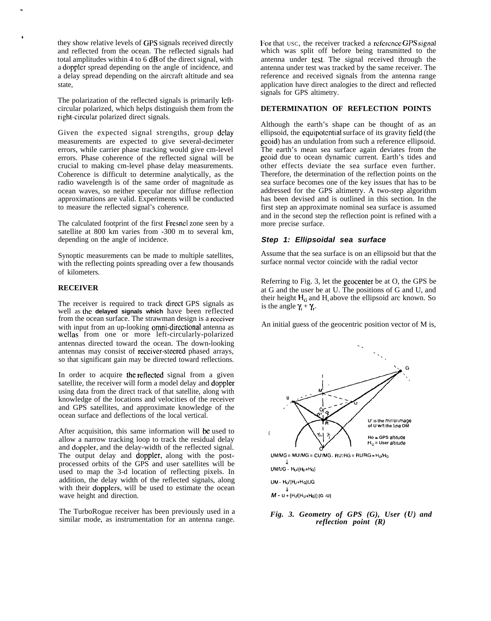they show relative levels of GPS signals received directly and reflected from the ocean. The reflected signals had total amplitudes within 4 to 6 dB of the direct signal, with a doppler spread depending on the angle of incidence, and a delay spread depending on the aircraft altitude and sea state,

The polarization of the reflected signals is primarily leftcircular polarized, which helps distinguish them from the righl-circular polarized direct signals.

Given the expected signal strengths, group delay measurements are expected to give several-decimeter errors, while carrier phase tracking would give cm-level errors. Phase coherence of the reflected signal will be crucial to making cm-level phase delay measurements. Coherence is difficult to determine analytically, as the radio wavelength is of the same order of magnitude as ocean waves, so neither specular nor diffuse reflection approximations are valid. Experiments will be conducted to measure the reflected signal's coherence.

The calculated footprint of the first Fresncl zone seen by a satellite at 800 km varies from -300 m to several km, depending on the angle of incidence.

Synoptic measurements can be made to multiple satellites, with the reflecting points spreading over a few thousands of kilometers.

# **RECEIVER**

.

●

The receiver is required to track direct GPS signals as well as **the delayed signals which** have been reflected from the ocean surface. The strawman design is a receiver with input from an up-looking **omni-directional** antenna as wellas from one or more left-circularly-polarized antennas directed toward the ocean. The down-looking antennas may consist of receiver-stezred phased arrays, so that significant gain may be directed toward reflections.

In order to acquire the reflected signal from a given satellite, the receiver will form a model delay and doppler using data from the direct track of that satellite, along with knowledge of the locations and velocities of the receiver and GPS satellites, and approximate knowledge of the ocean surface and deflections of the local vertical.

After acquisition, this same information will be used to allow a narrow tracking loop to track the residual delay and doppler, and the delay-width of the reflected signal. The output delay and doppler, along with the postprocessed orbits of the GPS and user satellites will be used to map the 3-d location of reflecting pixels. In addition, the delay width of the reflected signals, along with their dopplers, will be used to estimate the ocean wave height and direction.

The TurboRogue receiver has been previously used in a similar mode, as instrumentation for an antenna range.

For that usc, the receiver tracked a reference *GPS signal* which was split off before being transmitted to the antenna under test. The signal received through the antenna under test was tracked by the same receiver. The reference and received signals from the antenna range application have direct analogies to the direct and reflected signals for GPS altimetry.

## **DETERMINATION OF REFLECTION POINTS**

Although the earth's shape can be thought of as an ellipsoid, the cquipotcntial surface of its gravity field (the gcoid) has an undulation from such a reference ellipsoid. The earth's mean sea surface again deviates from the gcoid due to ocean dynamic current. Earth's tides and other effects deviate the sea surface even further. Therefore, the determination of the reflection points on the sea surface becomes one of the key issues that has to be addressed for the GPS altimetry. A two-step algorithm has been devised and is outlined in this section. In the first step an approximate nominal sea surface is assumed and in the second step the reflection point is refined with a more precise surface.

#### **Step 1: Ellipsoidal sea surface**

Assume that the sea surface is on an ellipsoid but that the surface normal vector coincide with the radial vector

Referring to Fig. 3, let the geocenter be at O, the GPS be at G and the user be at U. The positions of G and U, and their height  $H_0$  and H above the ellipsoid arc known. So is the angle  $\gamma + \gamma$ .

An initial guess of the geocentric position vector of M is,



*Fig. 3. Geometry of GPS (G), User (U) and reflection point (R)*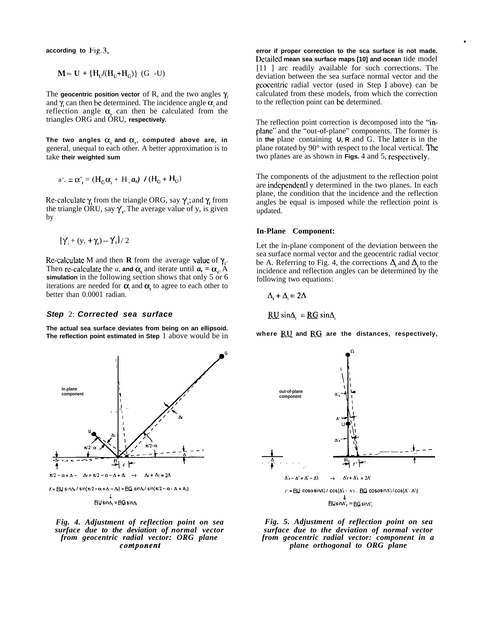**according to Fig. 3,**

$$
\mathbf{M} \approx \mathbf{U} + \{ \mathbf{H}_{U} / (\mathbf{H}_{U} + \mathbf{H}_{G}) \} \ (\mathbf{G} - \mathbf{U})
$$

The **geocentric position vector** of R, and the two angles  $\gamma$ and  $\gamma$  can then be determined. The incidence angle  $\alpha$  and reflection angle  $\alpha$ , can then be calculated from the triangles ORG and ORU, **respectively.**

The two angles  $\alpha_i$  and  $\alpha_r$ , computed above are, in general, unequal to each other. A better approximation is to take **their weighted sum**

$$
a'_{i} = \alpha'_{i} = (H_{G} \alpha_{i} + H_{u} a_{i}) / (H_{G} + H_{U})
$$

Re-calculate  $\gamma$  from the triangle ORG, say  $\gamma$ ; and  $\gamma$ , from the triangle ORU, say  $\gamma$ . The average value of y, is given by

$$
[\gamma_{i} + (y, +\gamma_{i}) - \gamma_{i}] / 2
$$

Re-calculate M and then **R** from the average value of  $\gamma$ . Then re-calculate the *a*, and  $\alpha$ , and iterate until  $a_1 = \alpha_2$ . A **simulation** in the following section shows that only 5 or 6 iterations are needed for  $\alpha$  and  $\alpha$ , to agree to each other to better than 0.0001 radian.

#### **Step** 2: **Corrected sea surface**

**The actual sea surface deviates from being on an ellipsoid. The reflection point estimated in Step** 1 above would be in



**ELI SlnA, = E@ sin&**

#### *Fig. 4. Adjustment of reflection point on sea surface due to the deviation of normal vector from geocentric radial vector: ORG plane contponent*

**error if proper correction to the sca surface is not made. f)etailcd mean sea surface maps [10] and ocean** tide model [11] arc readily available for such corrections. The deviation between the sea surface normal vector and the geocentric radial vector (used in Step 1 above) can be calculated from these models, from which the correction to the reflection point can bc determined.

.

The reflection point correction is decomposed into the "inplanc" and the "out-of-plane" components. The former is in the plane containing **U**, **R** and G. The latter is in the plane rotated by  $90^\circ$  with respect to the local vertical. The two planes are as shown in **Figs.** 4 and 5, rcspcctivcly.

The components of the adjustment to the reflection point are indcpcndcntl y determined in the two planes. In each plane, the condition that the incidence and the reflection angles be equal is imposed while the reflection point is updated.

#### **In-Plane Component:**

Let the in-plane component of the deviation between the sea surface normal vector and the geocentric radial vector be A. Referring to Fig. 4, the corrections  $\Delta$  and  $\Delta$  to the incidence and reflection angles can be determined by the following two equations:

$$
\Delta_{\rm r}+\Delta=2\Delta
$$

**G**

$$
RU \sin\!\Delta = \underline{RG} \sin\!\Delta
$$

where **RU** and **RG** are the distances, respectively,



*Fig. 5. Adjustment of reflection point on sea surface due to the deviation of normal vector from geocentric radial vector: component in a plane orthogonal to ORG plane*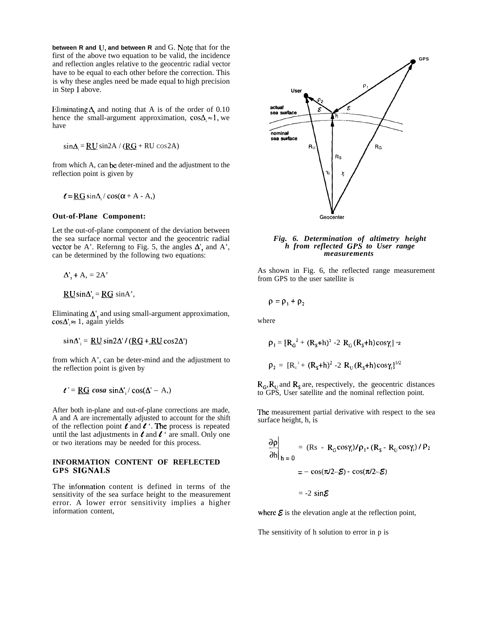**between R and LJ, and between R** and G. Note that for the first of the above two equation to be valid, the incidence and reflection angles relative to the geocentric radial vector have to be equal to each other before the correction. This is why these angles need be made equal to high precision in Step 1 above.

Eliminating  $\Delta$ , and noting that A is of the order of 0.10 hence the small-argument approximation,  $\cos\Delta \approx 1$ , we have

$$
\sin\Delta_i = \underline{RU} \sin 2A / (\underline{RG} + RU \cos 2A)
$$

from which A, can be deter-mined and the adjustment to the reflection point is given by

$$
\ell = \underline{RG} \sin\Delta_i / \cos(\alpha + A - A_i)
$$

#### **Out-of-Plane Component:**

Let the out-of-plane component of the deviation between the sea surface normal vector and the geocentric radial vector be A'. Refernng to Fig. 5, the angles  $\Delta'$ , and A', can be determined by the following two equations:

$$
\Delta_{\rm r}^{\prime} + A_{\rm r} = 2A^{\prime}
$$

 $RU\sin\Delta' = RG \sin A'$ ,

Eliminating  $\Delta'$ , and using small-argument approximation,  $\cos \Delta' \approx 1$ , again yields

 $sin\Delta'_{i} = \frac{RU}{2}sin2\Delta'$  / ( $RG + RU cos2\Delta'$ )

from which A', can be deter-mind and the adjustment to the reflection point is given by

 $t' = \underline{RG} \cos a \sin \Delta'$ ,  $\cos(\Delta' - A)$ ,

After both in-plane and out-of-plane corrections are made, A and A are incrementally adjusted to account for the shift of the reflection point  $\ell$  and  $\ell$  '. The process is repeated until the last adjustments in  $\ell$  and  $\ell$  ' are small. Only one or two iterations may be needed for this process.

# **INFORMATION CONTENT OF REFLECTED GPS SIGNALS**

The information content is defined in terms of the sensitivity of the sea surface height to the measurement error. A lower error sensitivity implies a higher information content,



*Fig. 6. Determination of altimetry height h from reflected GPS to User range measurements*

As shown in Fig. 6, the reflected range measurement from GPS to the user satellite is

$$
\rho = \rho_1 + \rho_2
$$

where

$$
\rho_1 = [R_G^2 + (R_s + h)^2 - 2 R_G (R_s + h) \cos \gamma_1] \approx
$$
  
\n
$$
\rho_2 = [R_v^2 + (R_s + h)^2 - 2 R_U (R_s + h) \cos \gamma_1]^{1/2}
$$

 $R_G$ ,  $R_U$  and  $R_S$  are, respectively, the geocentric distances to GPS, User satellite and the nominal reflection point.

The measurement partial derivative with respect to the sea surface height, h, is

$$
\frac{\partial \rho}{\partial h}\Big|_{h=0} = (Rs - R_G \cos \gamma_i) / \rho_{1+} (R_S - R_U \cos \gamma_i) / \rho_2
$$

$$
= -\cos(\pi/2 - \mathcal{E}) - \cos(\pi/2 - \mathcal{E})
$$

$$
= -2 \sin \mathcal{E}
$$

where  $\boldsymbol{\varepsilon}$  is the elevation angle at the reflection point,

The sensitivity of h solution to error in p is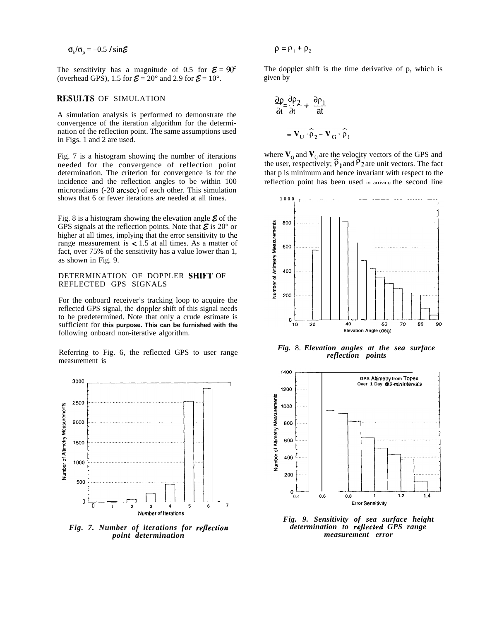$\sigma_{h}/\sigma_{p} = -0.5$  / sin $\epsilon$ 

The sensitivity has a magnitude of 0.5 for  $\mathcal{E} = 90^\circ$ (overhead GPS), 1.5 for  $\mathbf{\Sigma} = 20^{\circ}$  and 2.9 for  $\mathbf{\Sigma} = 10^{\circ}$ .

# RFSULTS OF SIMULATION

A simulation analysis is performed to demonstrate the convergence of the iteration algorithm for the determination of the reflection point. The same assumptions used in Figs. 1 and 2 are used.

Fig. 7 is a histogram showing the number of iterations needed for the convergence of reflection point determination. The criterion for convergence is for the incidence and the reflection angles to be within 100 microradians (-20 arcsec) of each other. This simulation shows that 6 or fewer iterations are needed at all times.

Fig. 8 is a histogram showing the elevation angle  $\boldsymbol{\mathcal{E}}$  of the GPS signals at the reflection points. Note that  $\mathcal E$  is 20° or higher at all times, implying that the error sensitivity to the range measurement is  $\lt 1.5$  at all times. As a matter of fact, over 75% of the sensitivity has a value lower than 1, as shown in Fig. 9.

# DETERMINATION OF DOPPLER SHIFT OF REFLECTED GPS SIGNALS

For the onboard receiver's tracking loop to acquire the reflected GPS signal, the doppler shift of this signal needs to be predetermined. Note that only a crude estimate is sufficient for **this purpose. This can be furnished with the** following onboard non-iterative algorithm.

Referring to Fig. 6, the reflected GPS to user range measurement is



*Fig. 7. Number of iterations for reflection point determination*

$$
\rho = \rho_1 + \rho_2
$$

The doppler shift is the time derivative of p, which is given by

$$
\frac{\partial \rho}{\partial t} = \frac{\partial \rho_2}{\partial t} + \frac{\partial \rho_1}{\partial t}
$$

$$
= \mathbf{V}_U \cdot \hat{\rho}_2 - \mathbf{V}_G \cdot \hat{\rho}_1
$$

where  $V_c$  and  $V_u$  are the velocity vectors of the GPS and the user, respectively;  $\rho_1$  and  $\rho_2$  are unit vectors. The fact that p is minimum and hence invariant with respect to the reflection point has been used in arriving the second line



*Fig.* 8. *Elevation angles at the sea surface reflection points*



*Fig. 9. Sensitivity of sea surface height determination to rejlected GPS range measurement error*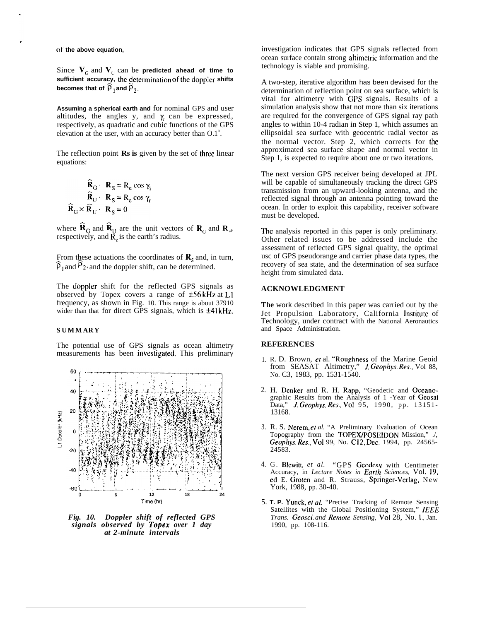of **the above equation,**

Since  $V_{\text{G}}$  and  $V_{\text{U}}$  can be **predicted ahead of time to** sufficient accuracy, the determination of the doppler shifts **becomes that of**  $\widehat{p}_1$  **and**  $\widehat{p}_2$ **.** 

**Assuming a spherical earth and** for nominal GPS and user altitudes, the angles y, and  $\gamma$  can be expressed, respectively, as quadratic and cubic functions of the GPS elevation at the user, with an accuracy better than  $0.1^{\circ}$ .

The reflection point **Rs is** given by the set of three linear equations:

$$
\hat{\mathbf{R}}_{\text{G}} \cdot \mathbf{R}_{\text{S}} = \mathbf{R}_{\text{e}} \cos \gamma_{\text{i}}
$$

$$
\hat{\mathbf{R}}_{\text{U}} \cdot \mathbf{R}_{\text{S}} = \mathbf{R}_{\text{e}} \cos \gamma_{\text{r}}
$$

$$
\hat{\mathbf{R}}_{\text{G}} \times \hat{\mathbf{R}}_{\text{U}} \cdot \mathbf{R}_{\text{S}} = 0
$$

where  $\mathbf{R}_{\text{G}}$  and  $\mathbf{R}_{\text{U}}$  are the unit vectors of  $\mathbf{R}_{\text{G}}$  and  $\mathbf{R}_{\text{U}}$ , respectively, and  $\tilde{R}_r$  is the earth's radius.

From these actuations the coordinates of  $\mathbf{R}_s$  and, in turn,  $\hat{\rho}_1$  and  $\hat{\rho}_2$ , and the doppler shift, can be determined.

The doppler shift for the reflected GPS signals as observed by Topex covers a range of  $\pm$ 56 kHz at L1 frequency, as shown in Fig. 10. This range is about 37910 wider than that for direct GPS signals, which is  $±41kHz$ .

### **SUMMARY**

The potential use of GPS signals as ocean altimetry measurements has been investigated. This preliminary



*Fig. 10. Doppler shift of reflected GPS signals observed by Topex over 1 day at 2-minute intervals*

investigation indicates that GPS signals reflected from ocean surface contain strong altimetric information and the technology is viable and promising.

A two-step, iterative algorithm has been devised for the determination of reflection point on sea surface, which is vital for altimetry with GPS signals. Results of a simulation analysis show that not more than six iterations are required for the convergence of GPS signal ray path angles to within 10-4 radian in Step 1, which assumes an ellipsoidal sea surface with geocentric radial vector as the normal vector. Step 2, which corrects for the approximated sea surface shape and normal vector in Step 1, is expected to require about one or two iterations.

The next version GPS receiver being developed at JPL will be capable of simultaneously tracking the direct GPS transmission from an upward-looking antenna, and the reflected signal through an antenna pointing toward the ocean. In order to exploit this capability, receiver software must be developed.

The analysis reported in this paper is only preliminary. Other related issues to be addressed include the assessment of reflected GPS signal quality, the optimal usc of GPS pseudorange and carrier phase data types, the recovery of sea state, and the determination of sea surface height from simulated data.

## **ACKNOWLEDGMENT**

**The** work described in this paper was carried out by the Jet Propulsion Laboratory, California Institute of Technology, under contract with the National Aeronautics and Space Administration.

### **REFERENCES**

- 1. R. D. Brown, et al. "Roughness of the Marine Geoid from SEASAT Altimetry," J. Geophys. *Res.,* Vol 88, No. C3, 1983, pp. 1531-1540.
- 2. H. Denker and R. H. Rapp, "Geodetic and Oceanographic Results from the Analysis of 1 -Year of Geosat Data," J. Geophys. *Res.,* Vol 95, 1990, pp. 13151- 13168.
- 3. R. S. Nerem, et *al.* "A Preliminary Evaluation of Ocean Topography from the TOPEX/POSEIDON Mission," ./, Geophys. *Res.,* Vol 99, No. C12, Dec. 1994, pp. 24565- 24583.
- 4. G. Blewitt, *et al.* "GPS Geodesv with Centimeter Accuracy, in *Lecture Notes in Earth Sciences*, Vol. 19, ed. E. Groten and R. Strauss, Springer-Verlag, New York, 1988, pp. 30-40.
- 5. **T. P.** Yunck, et al. "Precise Tracking of Remote Sensing Satellites with the Global Positioning System," */EEE Trans. Geosci. and Remote Sensing,* Vol 28, No. 1, Jan. 1990, pp. 108-116.